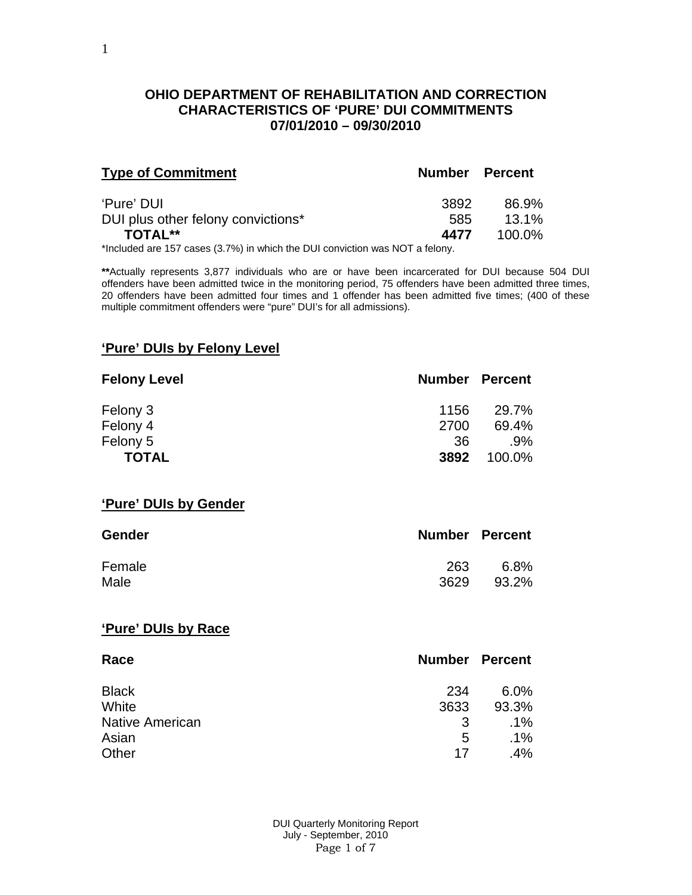#### **OHIO DEPARTMENT OF REHABILITATION AND CORRECTION CHARACTERISTICS OF 'PURE' DUI COMMITMENTS 07/01/2010 – 09/30/2010**

| <b>Type of Commitment</b>                     | <b>Number Percent</b> |                   |
|-----------------------------------------------|-----------------------|-------------------|
| 'Pure' DUI                                    | 3892<br>585           | 86.9%<br>$13.1\%$ |
| DUI plus other felony convictions*<br>TOTAL** | 4477                  | 100.0%            |

\*Included are 157 cases (3.7%) in which the DUI conviction was NOT a felony.

**\*\***Actually represents 3,877 individuals who are or have been incarcerated for DUI because 504 DUI offenders have been admitted twice in the monitoring period, 75 offenders have been admitted three times, 20 offenders have been admitted four times and 1 offender has been admitted five times; (400 of these multiple commitment offenders were "pure" DUI's for all admissions).

### **'Pure' DUIs by Felony Level**

| <b>Felony Level</b> | <b>Number Percent</b> |        |
|---------------------|-----------------------|--------|
| Felony 3            | 1156                  | 29.7%  |
| Felony 4            | 2700                  | 69.4%  |
| Felony 5            | -36                   | .9%    |
| <b>TOTAL</b>        | 3892                  | 100.0% |

#### **'Pure' DUIs by Gender**

| <b>Gender</b> | <b>Number Percent</b> |         |
|---------------|-----------------------|---------|
| Female        | 263                   | $6.8\%$ |
| Male          | 3629                  | 93.2%   |

#### **'Pure' DUIs by Race**

| Race                   | <b>Number Percent</b> |        |
|------------------------|-----------------------|--------|
| <b>Black</b>           | 234                   | 6.0%   |
| White                  | 3633                  | 93.3%  |
| <b>Native American</b> | 3                     | $.1\%$ |
| Asian                  | 5                     | $.1\%$ |
| Other                  | 17                    | .4%    |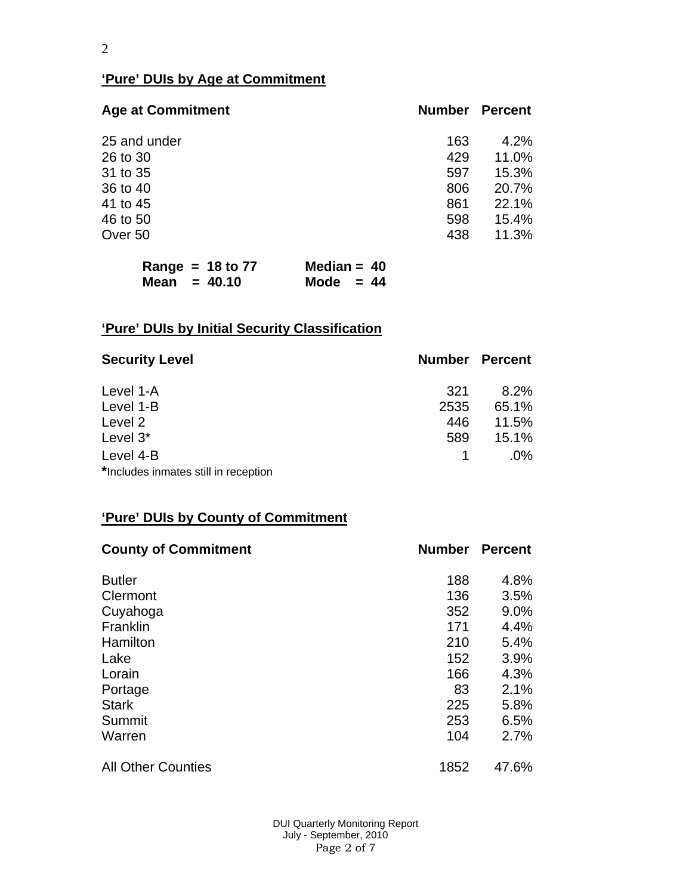## **'Pure' DUIs by Age at Commitment**

| <b>Age at Commitment</b> | <b>Number</b> | <b>Percent</b> |
|--------------------------|---------------|----------------|
| 25 and under             | 163           | 4.2%           |
| 26 to 30                 | 429           | 11.0%          |
| 31 to 35                 | 597           | 15.3%          |
| 36 to 40                 | 806           | 20.7%          |
| 41 to 45                 | 861           | 22.1%          |
| 46 to 50                 | 598           | 15.4%          |
| Over 50                  | 438           | 11.3%          |

|                | Range = $18$ to 77 | Median = $40$ |  |
|----------------|--------------------|---------------|--|
| Mean $= 40.10$ |                    | Mode $= 44$   |  |

# **'Pure' DUIs by Initial Security Classification**

| <b>Security Level</b>                | <b>Number Percent</b> |        |
|--------------------------------------|-----------------------|--------|
| Level 1-A                            | 321                   | 8.2%   |
| Level 1-B                            | 2535                  | 65.1%  |
| Level 2                              | 446                   | 11.5%  |
| Level 3*                             | 589                   | 15.1%  |
| Level 4-B                            |                       | $.0\%$ |
| *Includes inmates still in reception |                       |        |

# **'Pure' DUIs by County of Commitment**

| <b>County of Commitment</b> | <b>Number</b> | <b>Percent</b> |
|-----------------------------|---------------|----------------|
| <b>Butler</b>               | 188           | 4.8%           |
| Clermont                    | 136           | 3.5%           |
| Cuyahoga                    | 352           | 9.0%           |
| Franklin                    | 171           | 4.4%           |
| Hamilton                    | 210           | 5.4%           |
| Lake                        | 152           | 3.9%           |
| Lorain                      | 166           | 4.3%           |
| Portage                     | 83            | 2.1%           |
| <b>Stark</b>                | 225           | 5.8%           |
| Summit                      | 253           | 6.5%           |
| Warren                      | 104           | 2.7%           |
| <b>All Other Counties</b>   | 1852          | 47.6%          |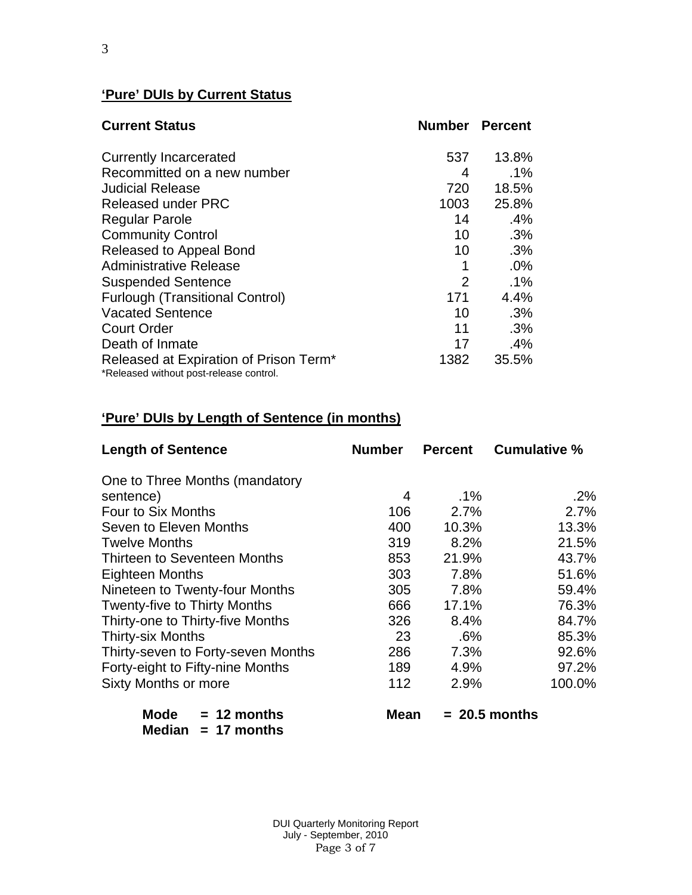### **'Pure' DUIs by Current Status**

| <b>Current Status</b>                                                             | <b>Number Percent</b> |        |
|-----------------------------------------------------------------------------------|-----------------------|--------|
| <b>Currently Incarcerated</b>                                                     | 537                   | 13.8%  |
| Recommitted on a new number                                                       | 4                     | $.1\%$ |
| <b>Judicial Release</b>                                                           | 720                   | 18.5%  |
| <b>Released under PRC</b>                                                         | 1003                  | 25.8%  |
| <b>Regular Parole</b>                                                             | 14                    | .4%    |
| <b>Community Control</b>                                                          | 10 <sup>1</sup>       | .3%    |
| Released to Appeal Bond                                                           | 10                    | .3%    |
| Administrative Release                                                            | 1                     | .0%    |
| <b>Suspended Sentence</b>                                                         | $\overline{2}$        | $.1\%$ |
| <b>Furlough (Transitional Control)</b>                                            | 171                   | 4.4%   |
| <b>Vacated Sentence</b>                                                           | 10                    | .3%    |
| <b>Court Order</b>                                                                | 11                    | .3%    |
| Death of Inmate                                                                   | 17                    | .4%    |
| Released at Expiration of Prison Term*<br>*Released without post-release control. | 1382                  | 35.5%  |

## **'Pure' DUIs by Length of Sentence (in months)**

| <b>Length of Sentence</b>           | <b>Number</b> | <b>Percent</b> | <b>Cumulative %</b> |
|-------------------------------------|---------------|----------------|---------------------|
| One to Three Months (mandatory      |               |                |                     |
| sentence)                           | 4             | $.1\%$         | $.2\%$              |
| Four to Six Months                  | 106           | 2.7%           | 2.7%                |
| Seven to Eleven Months              | 400           | 10.3%          | 13.3%               |
| <b>Twelve Months</b>                | 319           | 8.2%           | 21.5%               |
| Thirteen to Seventeen Months        | 853           | 21.9%          | 43.7%               |
| <b>Eighteen Months</b>              | 303           | 7.8%           | 51.6%               |
| Nineteen to Twenty-four Months      | 305           | 7.8%           | 59.4%               |
| <b>Twenty-five to Thirty Months</b> | 666           | 17.1%          | 76.3%               |
| Thirty-one to Thirty-five Months    | 326           | 8.4%           | 84.7%               |
| <b>Thirty-six Months</b>            | 23            | .6%            | 85.3%               |
| Thirty-seven to Forty-seven Months  | 286           | 7.3%           | 92.6%               |
| Forty-eight to Fifty-nine Months    | 189           | 4.9%           | 97.2%               |
| <b>Sixty Months or more</b>         | 112           | 2.9%           | 100.0%              |
| <b>Mode</b><br>$= 12$ months        | Mean          |                | $= 20.5$ months     |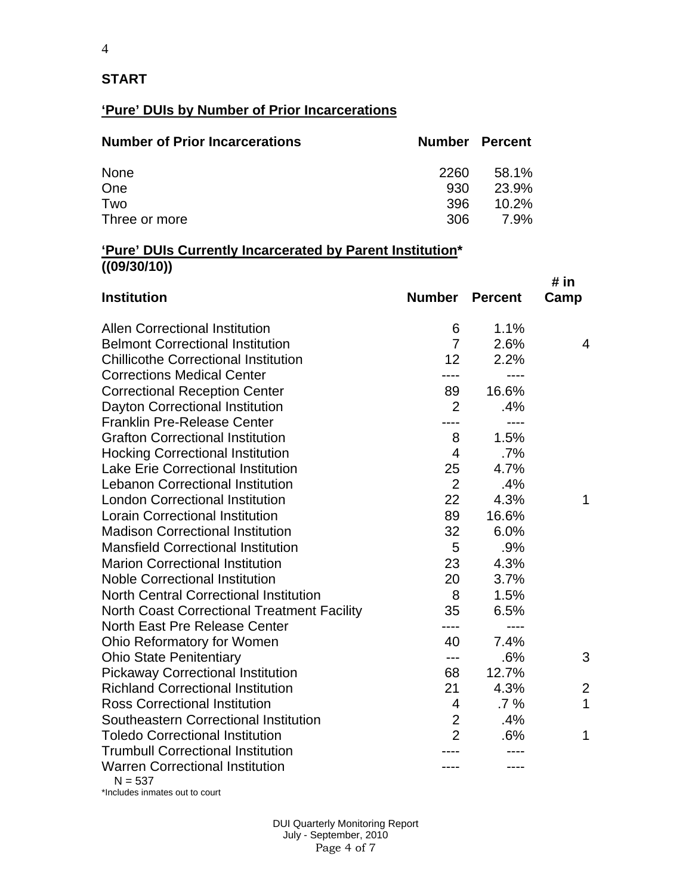### **START**

## **'Pure' DUIs by Number of Prior Incarcerations**

| <b>Number of Prior Incarcerations</b> | <b>Number Percent</b> |             |
|---------------------------------------|-----------------------|-------------|
| None                                  | 2260                  | 58.1%       |
| One                                   | 930                   | 23.9%       |
| Two                                   | 396                   | $10.2\%$    |
| Three or more                         | 306                   | <b>7.9%</b> |

#### **'Pure' DUIs Currently Incarcerated by Parent Institution\* ((09/30/10))**

| <b>Institution</b>                                  | <b>Number Percent</b> |        | # in<br>Camp |
|-----------------------------------------------------|-----------------------|--------|--------------|
| <b>Allen Correctional Institution</b>               | 6                     | 1.1%   |              |
| <b>Belmont Correctional Institution</b>             | $\overline{7}$        | 2.6%   | 4            |
| <b>Chillicothe Correctional Institution</b>         | 12                    | 2.2%   |              |
| <b>Corrections Medical Center</b>                   |                       |        |              |
| <b>Correctional Reception Center</b>                | 89                    | 16.6%  |              |
| Dayton Correctional Institution                     | $\overline{2}$        | .4%    |              |
| <b>Franklin Pre-Release Center</b>                  |                       | $---$  |              |
| <b>Grafton Correctional Institution</b>             | 8                     | 1.5%   |              |
| <b>Hocking Correctional Institution</b>             | $\overline{4}$        | $.7\%$ |              |
| <b>Lake Erie Correctional Institution</b>           | 25                    | 4.7%   |              |
| <b>Lebanon Correctional Institution</b>             | $\overline{2}$        | .4%    |              |
| <b>London Correctional Institution</b>              | 22                    | 4.3%   | 1            |
| <b>Lorain Correctional Institution</b>              | 89                    | 16.6%  |              |
| <b>Madison Correctional Institution</b>             | 32                    | 6.0%   |              |
| <b>Mansfield Correctional Institution</b>           | 5                     | .9%    |              |
| <b>Marion Correctional Institution</b>              | 23                    | 4.3%   |              |
| <b>Noble Correctional Institution</b>               | 20                    | 3.7%   |              |
| <b>North Central Correctional Institution</b>       | 8                     | 1.5%   |              |
| <b>North Coast Correctional Treatment Facility</b>  | 35                    | 6.5%   |              |
| North East Pre Release Center                       | ----                  | $---$  |              |
| <b>Ohio Reformatory for Women</b>                   | 40                    | 7.4%   |              |
| <b>Ohio State Penitentiary</b>                      | ---                   | .6%    | 3            |
| <b>Pickaway Correctional Institution</b>            | 68                    | 12.7%  |              |
| <b>Richland Correctional Institution</b>            | 21                    | 4.3%   | 2            |
| <b>Ross Correctional Institution</b>                | $\overline{4}$        | $.7\%$ | $\mathbf{1}$ |
| Southeastern Correctional Institution               | $\overline{2}$        | .4%    |              |
| <b>Toledo Correctional Institution</b>              | $\overline{2}$        | .6%    | 1            |
| <b>Trumbull Correctional Institution</b>            |                       |        |              |
| <b>Warren Correctional Institution</b><br>$N = 537$ |                       |        |              |

\*Includes inmates out to court

 DUI Quarterly Monitoring Report July - September, 2010 Page 4 of 7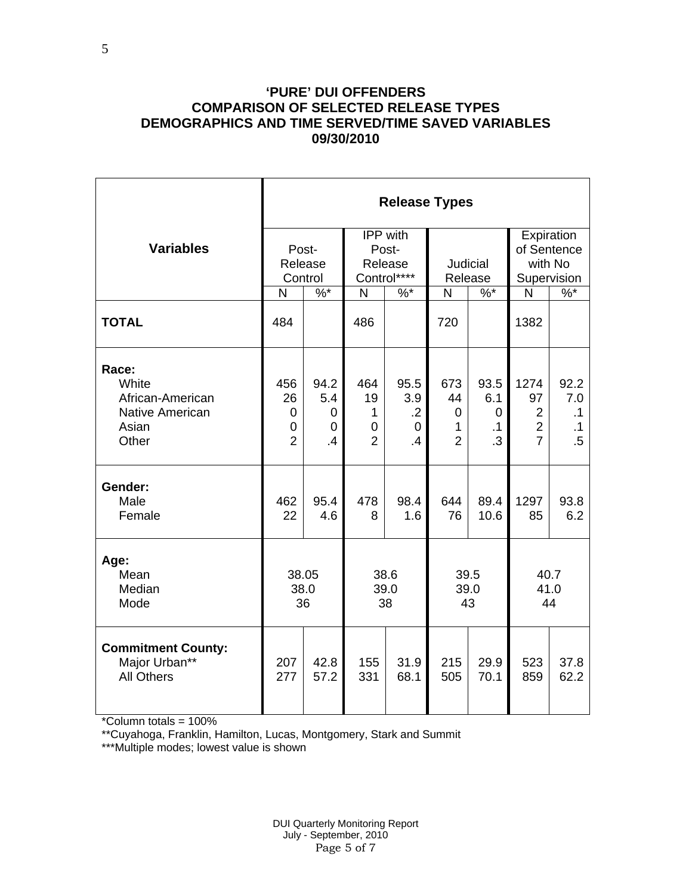### **'PURE' DUI OFFENDERS COMPARISON OF SELECTED RELEASE TYPES DEMOGRAPHICS AND TIME SERVED/TIME SAVED VARIABLES 09/30/2010**

|                                                                         | <b>Release Types</b>                  |                             |                                                    |                                                         |                                                 |                                               |                                                                  |                                                 |  |
|-------------------------------------------------------------------------|---------------------------------------|-----------------------------|----------------------------------------------------|---------------------------------------------------------|-------------------------------------------------|-----------------------------------------------|------------------------------------------------------------------|-------------------------------------------------|--|
| <b>Variables</b>                                                        | Post-<br>Release<br>Control           |                             |                                                    | IPP with<br>Post-<br>Release<br>Control****             | Judicial<br>Release                             |                                               | Expiration<br>of Sentence<br>with No<br>Supervision              |                                                 |  |
|                                                                         | N                                     | $%$ *                       | N                                                  | $%$ $*$                                                 | N                                               | $%^*$                                         | N                                                                | $\%$                                            |  |
| <b>TOTAL</b>                                                            | 484                                   |                             | 486                                                |                                                         | 720                                             |                                               | 1382                                                             |                                                 |  |
| Race:<br>White<br>African-American<br>Native American<br>Asian<br>Other | 456<br>26<br>0<br>0<br>$\overline{2}$ | 94.2<br>5.4<br>0<br>0<br>.4 | 464<br>19<br>1<br>$\overline{0}$<br>$\overline{2}$ | 95.5<br>3.9<br>$\cdot$ .2<br>$\Omega$<br>$\overline{A}$ | 673<br>44<br>$\mathbf 0$<br>1<br>$\overline{2}$ | 93.5<br>6.1<br>$\mathbf 0$<br>$\cdot$ 1<br>.3 | 1274<br>97<br>$\overline{2}$<br>$\overline{2}$<br>$\overline{7}$ | 92.2<br>7.0<br>$\cdot$ 1<br>$\cdot$ 1<br>$.5\,$ |  |
| Gender:<br>Male<br>Female                                               | 462<br>22                             | 95.4<br>4.6                 | 478<br>8                                           | 98.4<br>1.6                                             | 644<br>76                                       | 89.4<br>10.6                                  | 1297<br>85                                                       | 93.8<br>6.2                                     |  |
| Age:<br>Mean<br>Median<br>Mode                                          | 38.05<br>38.0<br>36                   |                             | 38.6<br>39.0<br>38                                 |                                                         | 39.5<br>39.0<br>43                              |                                               | 40.7<br>41.0<br>44                                               |                                                 |  |
| <b>Commitment County:</b><br>Major Urban**<br><b>All Others</b>         | 207<br>277                            | 42.8<br>57.2                | 155<br>331                                         | 31.9<br>68.1                                            | 215<br>505                                      | 29.9<br>70.1                                  | 523<br>859                                                       | 37.8<br>62.2                                    |  |

\*Column totals = 100%

\*\*Cuyahoga, Franklin, Hamilton, Lucas, Montgomery, Stark and Summit

\*\*\*Multiple modes; lowest value is shown

 DUI Quarterly Monitoring Report July - September, 2010 Page 5 of 7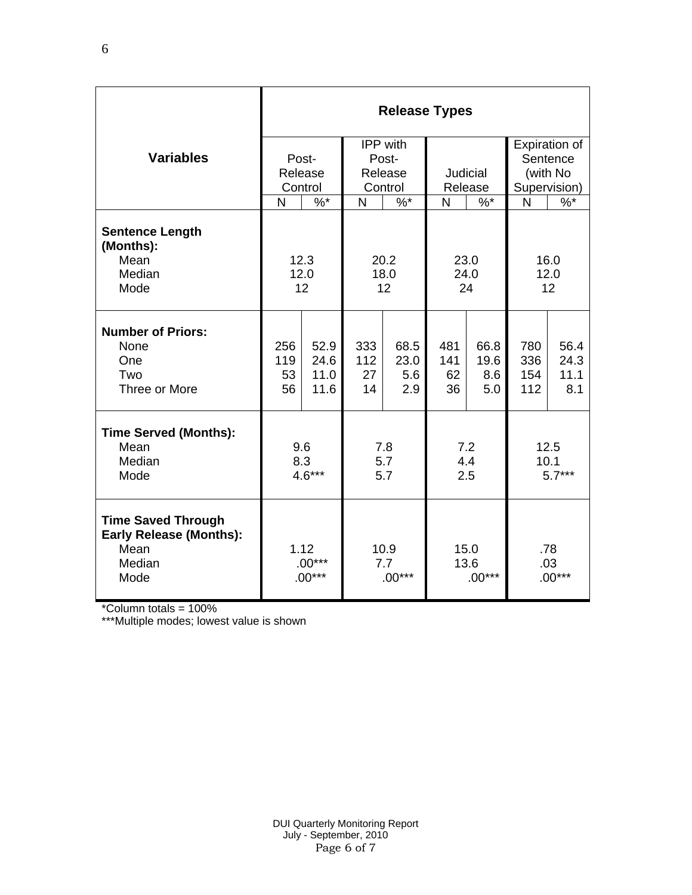|                                                                                       | <b>Release Types</b>         |                              |                         |                            |                          |                            |                          |                             |  |
|---------------------------------------------------------------------------------------|------------------------------|------------------------------|-------------------------|----------------------------|--------------------------|----------------------------|--------------------------|-----------------------------|--|
|                                                                                       |                              |                              | IPP with                |                            |                          |                            | Expiration of            |                             |  |
| <b>Variables</b>                                                                      |                              | Post-                        | Post-                   |                            |                          |                            | Sentence                 |                             |  |
|                                                                                       |                              | Release                      | Release                 |                            | Judicial                 |                            | (with No                 |                             |  |
|                                                                                       |                              | Control                      | Control                 |                            | Release                  |                            | Supervision)<br>N        |                             |  |
|                                                                                       | N                            | $\%$ *                       | N                       | $\%$ *                     | N                        | $\%$ *                     |                          | $\%$                        |  |
| <b>Sentence Length</b><br>(Months):<br>Mean<br>Median<br>Mode                         |                              | 12.3<br>12.0<br>12           | 20.2<br>18.0<br>12      |                            | 23.0<br>24.0<br>24       |                            | 16.0<br>12.0<br>12       |                             |  |
| <b>Number of Priors:</b><br>None<br>One<br>Two<br>Three or More                       | 256<br>119<br>53<br>56       | 52.9<br>24.6<br>11.0<br>11.6 | 333<br>112<br>27<br>14  | 68.5<br>23.0<br>5.6<br>2.9 | 481<br>141<br>62<br>36   | 66.8<br>19.6<br>8.6<br>5.0 | 780<br>336<br>154<br>112 | 56.4<br>24.3<br>11.1<br>8.1 |  |
| <b>Time Served (Months):</b><br>Mean<br>Median<br>Mode                                | 9.6<br>8.3<br>$4.6***$       |                              | 7.8<br>5.7<br>5.7       |                            | 7.2<br>4.4<br>2.5        |                            | 12.5<br>10.1<br>$5.7***$ |                             |  |
| <b>Time Saved Through</b><br><b>Early Release (Months):</b><br>Mean<br>Median<br>Mode | 1.12<br>$.00***$<br>$.00***$ |                              | 10.9<br>7.7<br>$.00***$ |                            | 15.0<br>13.6<br>$.00***$ |                            | .78<br>.03<br>$.00***$   |                             |  |

\*Column totals = 100%

\*\*\*Multiple modes; lowest value is shown

6